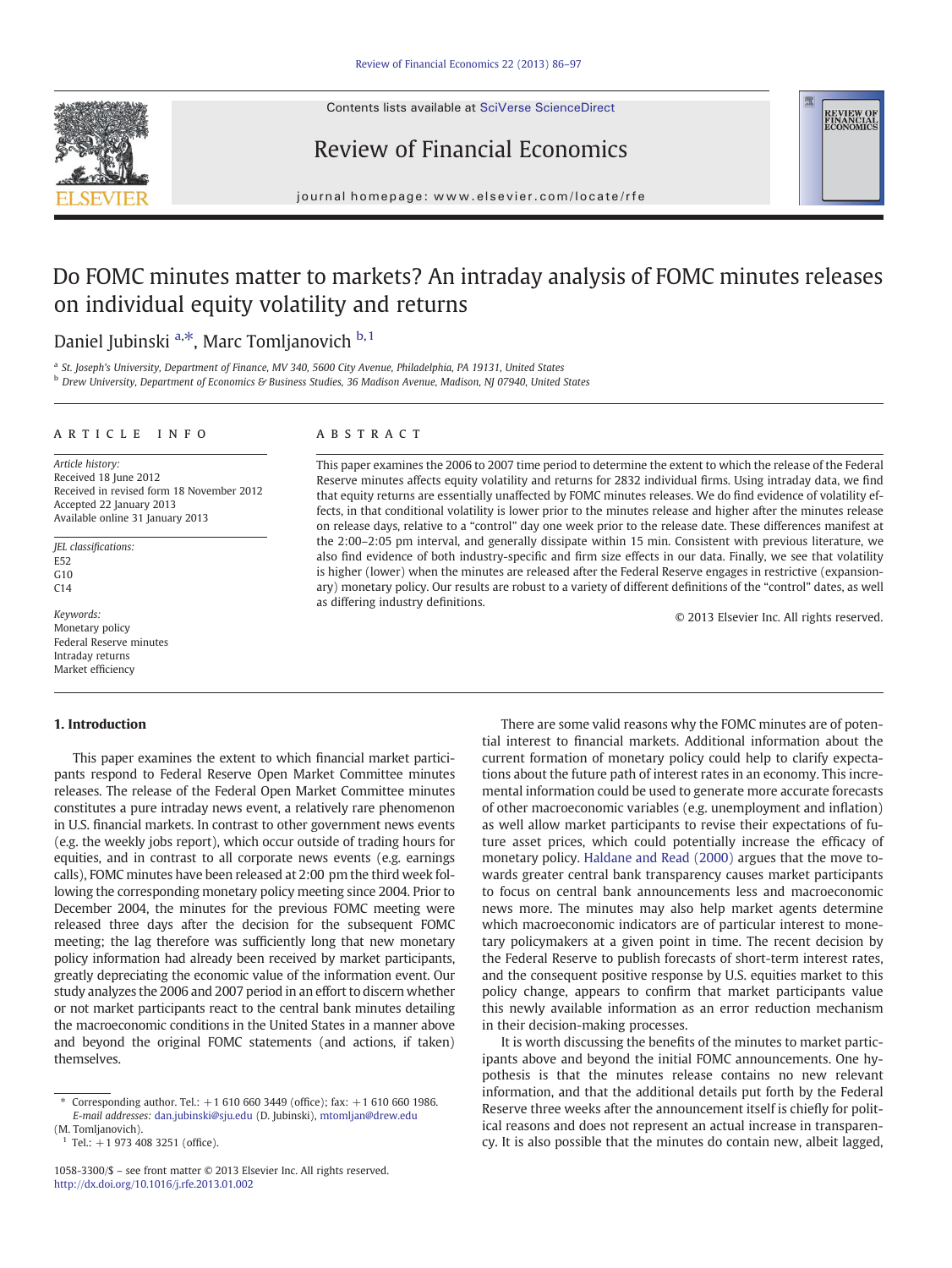Contents lists available at SciVerse ScienceDirect







journal homepage: www.elsevier.com/locate/rfe

## Do FOMC minutes matter to markets? An intraday analysis of FOMC minutes releases on individual equity volatility and returns

## Daniel Jubinski <sup>a,\*</sup>, Marc Tomljanovich <sup>b, 1</sup>

<sup>a</sup> St. Joseph's University, Department of Finance, MV 340, 5600 City Avenue, Philadelphia, PA 19131, United States

b Drew University, Department of Economics & Business Studies, 36 Madison Avenue, Madison, NJ 07940, United States

### article info abstract

Article history: Received 18 June 2012 Received in revised form 18 November 2012 Accepted 22 January 2013 Available online 31 January 2013

JEL classifications: E52  $G10$ C14

Keywords: Monetary policy Federal Reserve minutes Intraday returns Market efficiency

This paper examines the 2006 to 2007 time period to determine the extent to which the release of the Federal Reserve minutes affects equity volatility and returns for 2832 individual firms. Using intraday data, we find that equity returns are essentially unaffected by FOMC minutes releases. We do find evidence of volatility effects, in that conditional volatility is lower prior to the minutes release and higher after the minutes release on release days, relative to a "control" day one week prior to the release date. These differences manifest at the 2:00–2:05 pm interval, and generally dissipate within 15 min. Consistent with previous literature, we also find evidence of both industry-specific and firm size effects in our data. Finally, we see that volatility is higher (lower) when the minutes are released after the Federal Reserve engages in restrictive (expansionary) monetary policy. Our results are robust to a variety of different definitions of the "control" dates, as well as differing industry definitions.

© 2013 Elsevier Inc. All rights reserved.

### 1. Introduction

This paper examines the extent to which financial market participants respond to Federal Reserve Open Market Committee minutes releases. The release of the Federal Open Market Committee minutes constitutes a pure intraday news event, a relatively rare phenomenon in U.S. financial markets. In contrast to other government news events (e.g. the weekly jobs report), which occur outside of trading hours for equities, and in contrast to all corporate news events (e.g. earnings calls), FOMC minutes have been released at 2:00 pm the third week following the corresponding monetary policy meeting since 2004. Prior to December 2004, the minutes for the previous FOMC meeting were released three days after the decision for the subsequent FOMC meeting; the lag therefore was sufficiently long that new monetary policy information had already been received by market participants, greatly depreciating the economic value of the information event. Our study analyzes the 2006 and 2007 period in an effort to discern whether or not market participants react to the central bank minutes detailing the macroeconomic conditions in the United States in a manner above and beyond the original FOMC statements (and actions, if taken) themselves.

There are some valid reasons why the FOMC minutes are of potential interest to financial markets. Additional information about the current formation of monetary policy could help to clarify expectations about the future path of interest rates in an economy. This incremental information could be used to generate more accurate forecasts of other macroeconomic variables (e.g. unemployment and inflation) as well allow market participants to revise their expectations of future asset prices, which could potentially increase the efficacy of monetary policy. [Haldane and Read \(2000\)](#page--1-0) argues that the move towards greater central bank transparency causes market participants to focus on central bank announcements less and macroeconomic news more. The minutes may also help market agents determine which macroeconomic indicators are of particular interest to monetary policymakers at a given point in time. The recent decision by the Federal Reserve to publish forecasts of short-term interest rates, and the consequent positive response by U.S. equities market to this policy change, appears to confirm that market participants value this newly available information as an error reduction mechanism in their decision-making processes.

It is worth discussing the benefits of the minutes to market participants above and beyond the initial FOMC announcements. One hypothesis is that the minutes release contains no new relevant information, and that the additional details put forth by the Federal Reserve three weeks after the announcement itself is chiefly for political reasons and does not represent an actual increase in transparency. It is also possible that the minutes do contain new, albeit lagged,

<sup>\*</sup> Corresponding author. Tel.:  $+16106603449$  (office); fax:  $+16106601986$ . E-mail addresses: [dan.jubinski@sju.edu](mailto:dan.jubinski@sju.edu) (D. Jubinski), [mtomljan@drew.edu](mailto:mtomljan@drew.edu) (M. Tomljanovich).

Tel.:  $+1$  973 408 3251 (office).

<sup>1058-3300/\$</sup> – see front matter © 2013 Elsevier Inc. All rights reserved.

<http://dx.doi.org/10.1016/j.rfe.2013.01.002>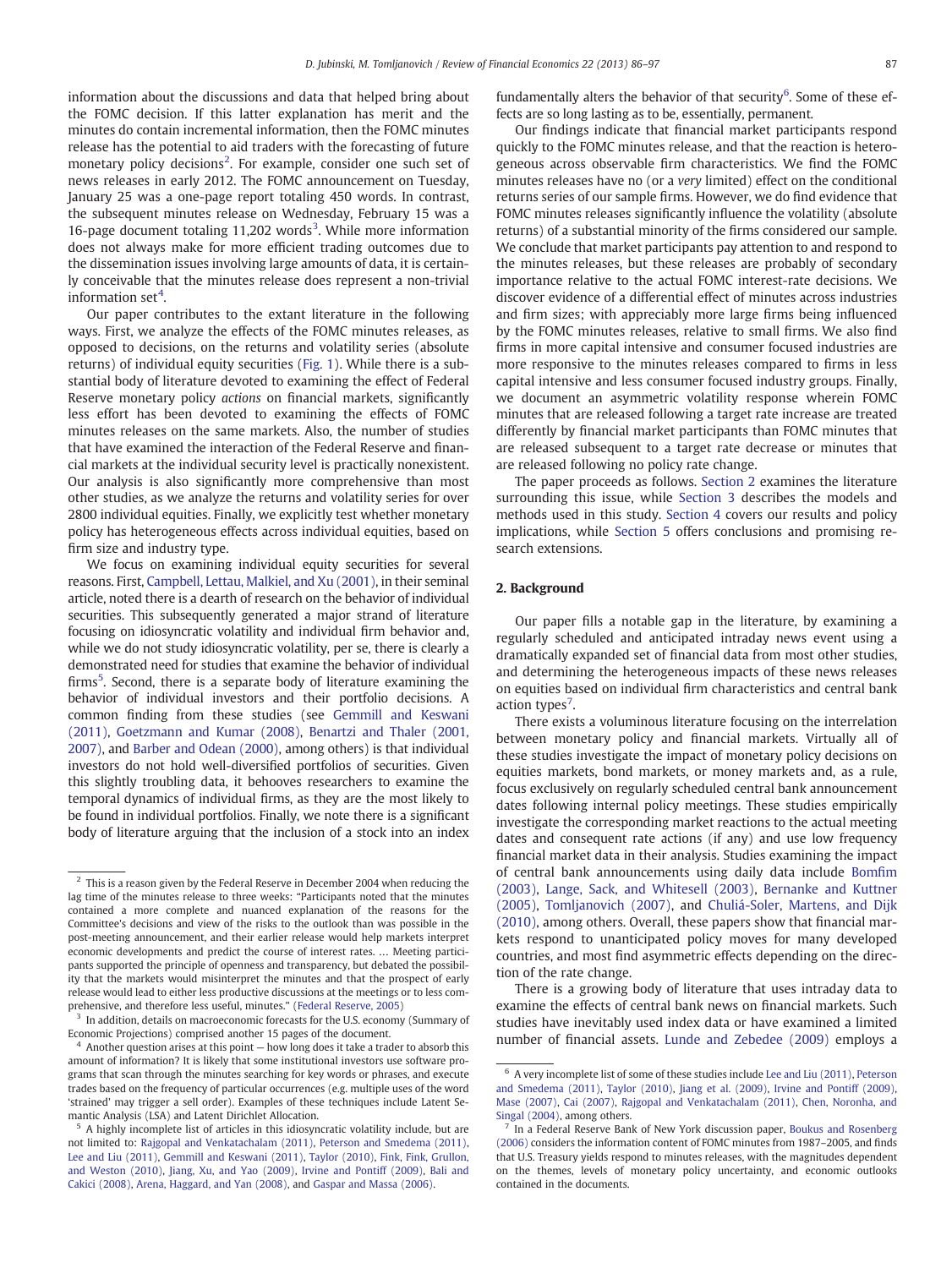information about the discussions and data that helped bring about the FOMC decision. If this latter explanation has merit and the minutes do contain incremental information, then the FOMC minutes release has the potential to aid traders with the forecasting of future monetary policy decisions<sup>2</sup>. For example, consider one such set of news releases in early 2012. The FOMC announcement on Tuesday, January 25 was a one-page report totaling 450 words. In contrast, the subsequent minutes release on Wednesday, February 15 was a 16-page document totaling 11,202 words<sup>3</sup>. While more information does not always make for more efficient trading outcomes due to the dissemination issues involving large amounts of data, it is certainly conceivable that the minutes release does represent a non-trivial information set $^4$ .

Our paper contributes to the extant literature in the following ways. First, we analyze the effects of the FOMC minutes releases, as opposed to decisions, on the returns and volatility series (absolute returns) of individual equity securities ([Fig. 1\)](#page--1-0). While there is a substantial body of literature devoted to examining the effect of Federal Reserve monetary policy actions on financial markets, significantly less effort has been devoted to examining the effects of FOMC minutes releases on the same markets. Also, the number of studies that have examined the interaction of the Federal Reserve and financial markets at the individual security level is practically nonexistent. Our analysis is also significantly more comprehensive than most other studies, as we analyze the returns and volatility series for over 2800 individual equities. Finally, we explicitly test whether monetary policy has heterogeneous effects across individual equities, based on firm size and industry type.

We focus on examining individual equity securities for several reasons. First, [Campbell, Lettau, Malkiel, and Xu \(2001\)](#page--1-0), in their seminal article, noted there is a dearth of research on the behavior of individual securities. This subsequently generated a major strand of literature focusing on idiosyncratic volatility and individual firm behavior and, while we do not study idiosyncratic volatility, per se, there is clearly a demonstrated need for studies that examine the behavior of individual firms<sup>5</sup>. Second, there is a separate body of literature examining the behavior of individual investors and their portfolio decisions. A common finding from these studies (see [Gemmill and Keswani](#page--1-0) [\(2011\)](#page--1-0), [Goetzmann and Kumar \(2008\),](#page--1-0) [Benartzi and Thaler \(2001,](#page--1-0) [2007\),](#page--1-0) and [Barber and Odean \(2000\)](#page--1-0), among others) is that individual investors do not hold well-diversified portfolios of securities. Given this slightly troubling data, it behooves researchers to examine the temporal dynamics of individual firms, as they are the most likely to be found in individual portfolios. Finally, we note there is a significant body of literature arguing that the inclusion of a stock into an index

fundamentally alters the behavior of that security<sup>6</sup>. Some of these effects are so long lasting as to be, essentially, permanent.

Our findings indicate that financial market participants respond quickly to the FOMC minutes release, and that the reaction is heterogeneous across observable firm characteristics. We find the FOMC minutes releases have no (or a very limited) effect on the conditional returns series of our sample firms. However, we do find evidence that FOMC minutes releases significantly influence the volatility (absolute returns) of a substantial minority of the firms considered our sample. We conclude that market participants pay attention to and respond to the minutes releases, but these releases are probably of secondary importance relative to the actual FOMC interest-rate decisions. We discover evidence of a differential effect of minutes across industries and firm sizes; with appreciably more large firms being influenced by the FOMC minutes releases, relative to small firms. We also find firms in more capital intensive and consumer focused industries are more responsive to the minutes releases compared to firms in less capital intensive and less consumer focused industry groups. Finally, we document an asymmetric volatility response wherein FOMC minutes that are released following a target rate increase are treated differently by financial market participants than FOMC minutes that are released subsequent to a target rate decrease or minutes that are released following no policy rate change.

The paper proceeds as follows. Section 2 examines the literature surrounding this issue, while [Section 3](#page--1-0) describes the models and methods used in this study. [Section 4](#page--1-0) covers our results and policy implications, while [Section 5](#page--1-0) offers conclusions and promising research extensions.

### 2. Background

Our paper fills a notable gap in the literature, by examining a regularly scheduled and anticipated intraday news event using a dramatically expanded set of financial data from most other studies, and determining the heterogeneous impacts of these news releases on equities based on individual firm characteristics and central bank action types<sup>7</sup>.

There exists a voluminous literature focusing on the interrelation between monetary policy and financial markets. Virtually all of these studies investigate the impact of monetary policy decisions on equities markets, bond markets, or money markets and, as a rule, focus exclusively on regularly scheduled central bank announcement dates following internal policy meetings. These studies empirically investigate the corresponding market reactions to the actual meeting dates and consequent rate actions (if any) and use low frequency financial market data in their analysis. Studies examining the impact of central bank announcements using daily data include [Bom](#page--1-0)fim [\(2003\),](#page--1-0) [Lange, Sack, and Whitesell \(2003\)](#page--1-0), [Bernanke and Kuttner](#page--1-0) [\(2005\),](#page--1-0) [Tomljanovich \(2007\)](#page--1-0), and [Chuliá-Soler, Martens, and Dijk](#page--1-0) [\(2010\),](#page--1-0) among others. Overall, these papers show that financial markets respond to unanticipated policy moves for many developed countries, and most find asymmetric effects depending on the direction of the rate change.

There is a growing body of literature that uses intraday data to examine the effects of central bank news on financial markets. Such studies have inevitably used index data or have examined a limited number of financial assets. [Lunde and Zebedee \(2009\)](#page--1-0) employs a

 $2$  This is a reason given by the Federal Reserve in December 2004 when reducing the lag time of the minutes release to three weeks: "Participants noted that the minutes contained a more complete and nuanced explanation of the reasons for the Committee's decisions and view of the risks to the outlook than was possible in the post-meeting announcement, and their earlier release would help markets interpret economic developments and predict the course of interest rates. … Meeting participants supported the principle of openness and transparency, but debated the possibility that the markets would misinterpret the minutes and that the prospect of early release would lead to either less productive discussions at the meetings or to less comprehensive, and therefore less useful, minutes." [\(Federal Reserve, 2005](#page--1-0))

In addition, details on macroeconomic forecasts for the U.S. economy (Summary of Economic Projections) comprised another 15 pages of the document.

<sup>4</sup> Another question arises at this point — how long does it take a trader to absorb this amount of information? It is likely that some institutional investors use software programs that scan through the minutes searching for key words or phrases, and execute trades based on the frequency of particular occurrences (e.g. multiple uses of the word 'strained' may trigger a sell order). Examples of these techniques include Latent Semantic Analysis (LSA) and Latent Dirichlet Allocation.

<sup>5</sup> A highly incomplete list of articles in this idiosyncratic volatility include, but are not limited to: [Rajgopal and Venkatachalam \(2011\)](#page--1-0), [Peterson and Smedema \(2011\)](#page--1-0), [Lee and Liu \(2011\),](#page--1-0) [Gemmill and Keswani \(2011\),](#page--1-0) [Taylor \(2010\)](#page--1-0), [Fink, Fink, Grullon,](#page--1-0) [and Weston \(2010\),](#page--1-0) [Jiang, Xu, and Yao \(2009\),](#page--1-0) [Irvine and Pontiff \(2009\),](#page--1-0) [Bali and](#page--1-0) [Cakici \(2008\),](#page--1-0) [Arena, Haggard, and Yan \(2008\),](#page--1-0) and [Gaspar and Massa \(2006\)](#page--1-0).

 $^{\rm 6}$  A very incomplete list of some of these studies include [Lee and Liu \(2011\)](#page--1-0), [Peterson](#page--1-0) [and Smedema \(2011\),](#page--1-0) [Taylor \(2010\)](#page--1-0), [Jiang et al. \(2009\)](#page--1-0), [Irvine and Pontiff \(2009\)](#page--1-0), [Mase \(2007\),](#page--1-0) [Cai \(2007\),](#page--1-0) [Rajgopal and Venkatachalam \(2011\),](#page--1-0) [Chen, Noronha, and](#page--1-0) [Singal \(2004\)](#page--1-0), among others.

 $<sup>7</sup>$  In a Federal Reserve Bank of New York discussion paper, [Boukus and Rosenberg](#page--1-0)</sup> [\(2006\)](#page--1-0) considers the information content of FOMC minutes from 1987–2005, and finds that U.S. Treasury yields respond to minutes releases, with the magnitudes dependent on the themes, levels of monetary policy uncertainty, and economic outlooks contained in the documents.